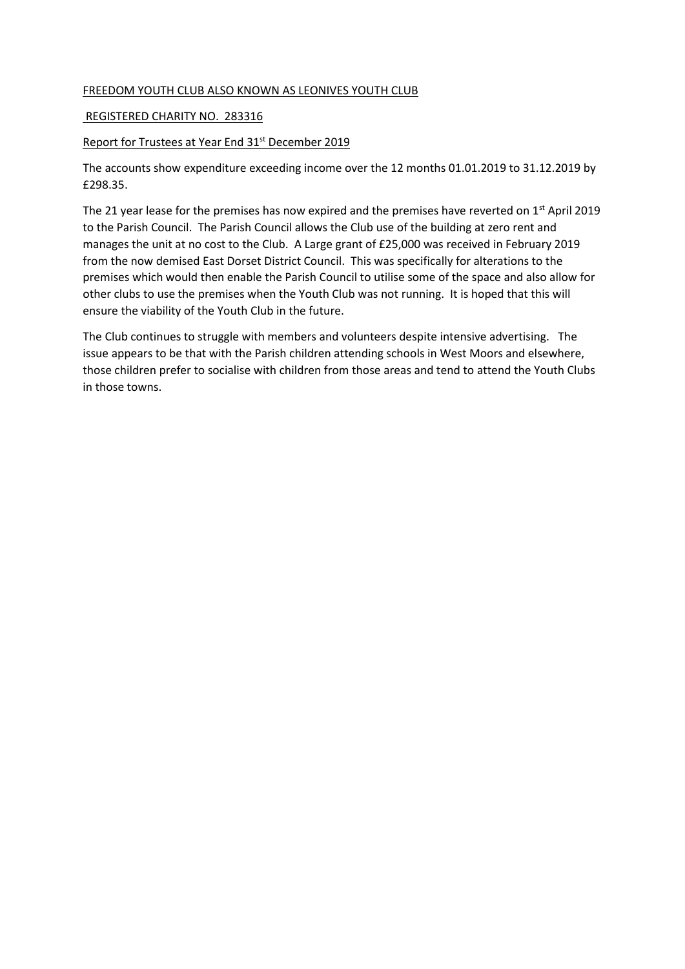## FREEDOM YOUTH CLUB ALSO KNOWN AS LEONIVES YOUTH CLUB

## REGISTERED CHARITY NO. 283316

## Report for Trustees at Year End 31<sup>st</sup> December 2019

The accounts show expenditure exceeding income over the 12 months 01.01.2019 to 31.12.2019 by £298.35.

The 21 year lease for the premises has now expired and the premises have reverted on  $1<sup>st</sup>$  April 2019 to the Parish Council. The Parish Council allows the Club use of the building at zero rent and manages the unit at no cost to the Club. A Large grant of £25,000 was received in February 2019 from the now demised East Dorset District Council. This was specifically for alterations to the premises which would then enable the Parish Council to utilise some of the space and also allow for other clubs to use the premises when the Youth Club was not running. It is hoped that this will ensure the viability of the Youth Club in the future.

The Club continues to struggle with members and volunteers despite intensive advertising. The issue appears to be that with the Parish children attending schools in West Moors and elsewhere, those children prefer to socialise with children from those areas and tend to attend the Youth Clubs in those towns.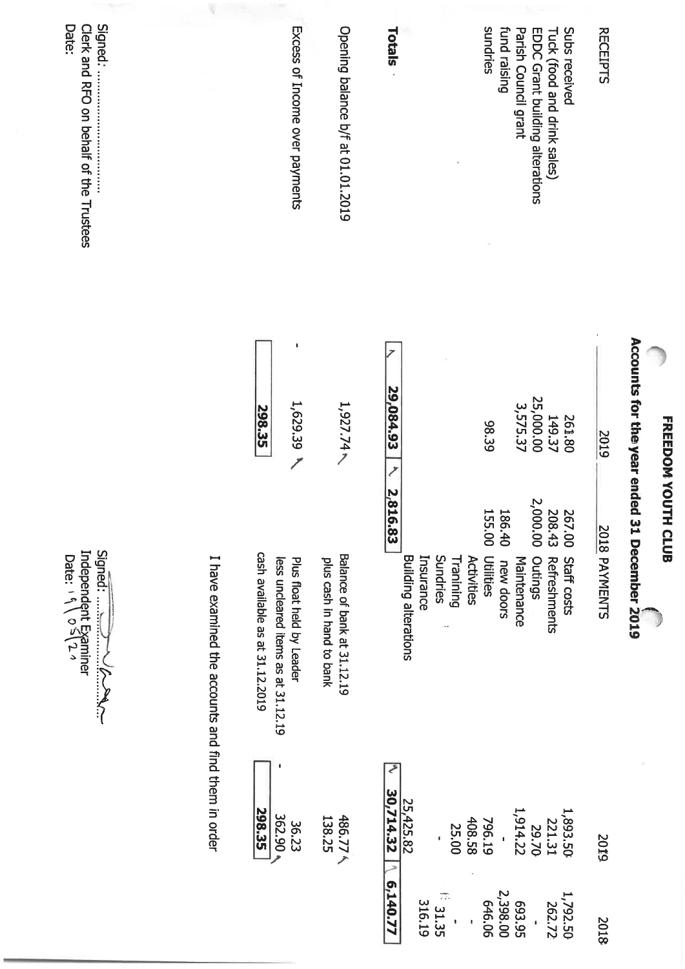| Subs received<br>fund raising<br>Parish Council grant<br><b>RECEIPTS</b><br>EDDC Grant building alterations<br>Tuck (food and drink sales) | 25,000.00<br>3,575.37<br>149.37<br>261.80<br>ファーサくディーくり ニー<br>2019 | Accounts for the year ended 31 December 2019<br>2,000.00<br>208.43<br>267.00<br>2018 PAYMENTS<br>$\frac{1}{6}$<br>Maintenance<br>Outings<br>Refreshments<br>Staff costs<br>new doors | 1,914.22<br>1,893.50<br>221.31<br>29.70<br>2019 | 2,398.00<br>1,792.50<br>693.95<br>262.72<br>2018 |
|--------------------------------------------------------------------------------------------------------------------------------------------|--------------------------------------------------------------------|--------------------------------------------------------------------------------------------------------------------------------------------------------------------------------------|-------------------------------------------------|--------------------------------------------------|
| sundries                                                                                                                                   | 98.39                                                              | 186.40<br>155.00<br>Insurance<br>Sundries<br>Activities<br>Tranining<br>Utilities                                                                                                    | 408.58<br>796.19<br>25.00                       | 1.31.35<br>316.19<br>646.06                      |
| Totals                                                                                                                                     | 29,084.93                                                          | 2,816.83<br><b>Building alterations</b>                                                                                                                                              | 30,714.32<br>25,425.82                          | E <sub>140.77</sub>                              |
| Opening balance b/f at 01.01.2019                                                                                                          | $1,927.74 \times$                                                  | Balance of bank at 31.12.19<br>plus cash in hand to bank                                                                                                                             | 486.77 $\land$<br>138.25                        |                                                  |
| Excess of Income over payments                                                                                                             | 1,629.39<br>298.35                                                 | cash available as at 31.12.2019<br>I have examined the accounts and find them in order<br>less uncleared items as at 31.12.19<br>Plus float held by Leader                           | <b>298.35</b><br>362.90<br>36.23                |                                                  |
| Signed:<br>Date:<br>Clerk and RFO on pehalt of the Trustees                                                                                |                                                                    | Independent Examiner<br>Date: $\sqrt{0.5/2}$<br>Signed:                                                                                                                              |                                                 |                                                  |

FREEDOM YOUTH CLUB